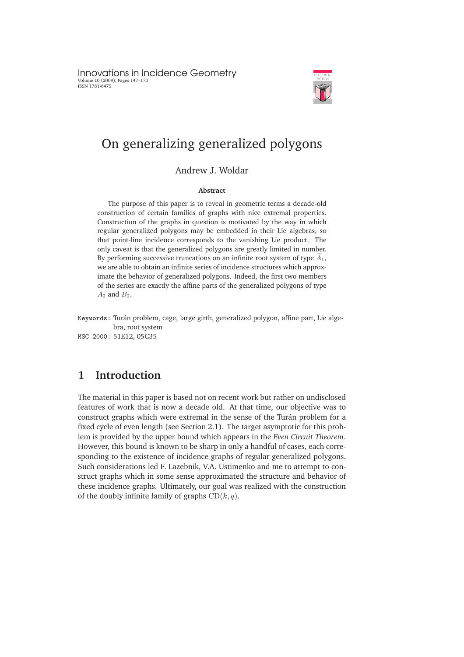Innovations in Incidence Geometry Volume 10 (2009), Pages 147–170 ISSN 1781-6475



# On generalizing generalized polygons

## Andrew J. Woldar

### **Abstract**

The purpose of this paper is to reveal in geometric terms a decade-old construction of certain families of graphs with nice extremal properties. Construction of the graphs in question is motivated by the way in which regular generalized polygons may be embedded in their Lie algebras, so that point-line incidence corresponds to the vanishing Lie product. The only caveat is that the generalized polygons are greatly limited in number. By performing successive truncations on an infinite root system of type  $\tilde{A}_1$ , we are able to obtain an infinite series of incidence structures which approximate the behavior of generalized polygons. Indeed, the first two members of the series are exactly the affine parts of the generalized polygons of type  $A_2$  and  $B_2$ .

Keywords: Turán problem, cage, large girth, generalized polygon, affine part, Lie algebra, root system MSC 2000: 51E12, 05C35

# **1 Introduction**

The material in this paper is based not on recent work but rather on undisclosed features of work that is now a decade old. At that time, our objective was to construct graphs which were extremal in the sense of the Turán problem for a fixed cycle of even length (see Section 2.1). The target asymptotic for this problem is provided by the upper bound which appears in the *Even Circuit Theorem*. However, this bound is known to be sharp in only a handful of cases, each corresponding to the existence of incidence graphs of regular generalized polygons. Such considerations led F. Lazebnik, V.A. Ustimenko and me to attempt to construct graphs which in some sense approximated the structure and behavior of these incidence graphs. Ultimately, our goal was realized with the construction of the doubly infinite family of graphs  $CD(k, q)$ .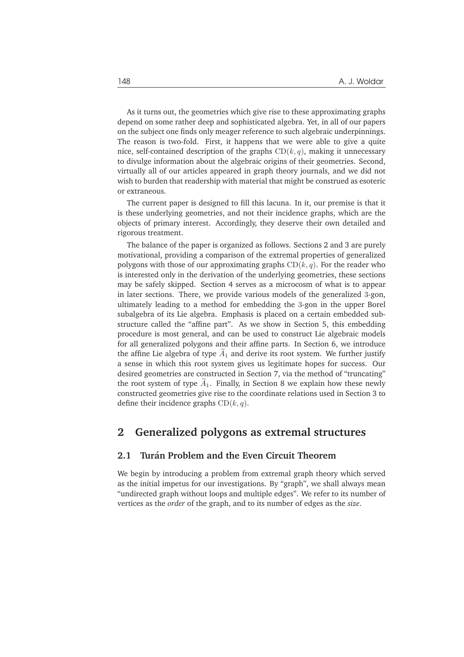As it turns out, the geometries which give rise to these approximating graphs depend on some rather deep and sophisticated algebra. Yet, in all of our papers on the subject one finds only meager reference to such algebraic underpinnings. The reason is two-fold. First, it happens that we were able to give a quite nice, self-contained description of the graphs  $CD(k, q)$ , making it unnecessary to divulge information about the algebraic origins of their geometries. Second, virtually all of our articles appeared in graph theory journals, and we did not wish to burden that readership with material that might be construed as esoteric or extraneous.

The current paper is designed to fill this lacuna. In it, our premise is that it is these underlying geometries, and not their incidence graphs, which are the objects of primary interest. Accordingly, they deserve their own detailed and rigorous treatment.

The balance of the paper is organized as follows. Sections 2 and 3 are purely motivational, providing a comparison of the extremal properties of generalized polygons with those of our approximating graphs  $CD(k, q)$ . For the reader who is interested only in the derivation of the underlying geometries, these sections may be safely skipped. Section 4 serves as a microcosm of what is to appear in later sections. There, we provide various models of the generalized 3-gon, ultimately leading to a method for embedding the 3-gon in the upper Borel subalgebra of its Lie algebra. Emphasis is placed on a certain embedded substructure called the "affine part". As we show in Section 5, this embedding procedure is most general, and can be used to construct Lie algebraic models for all generalized polygons and their affine parts. In Section 6, we introduce the affine Lie algebra of type  $A_1$  and derive its root system. We further justify a sense in which this root system gives us legitimate hopes for success. Our desired geometries are constructed in Section 7, via the method of "truncating" the root system of type  $\tilde{A}_1$ . Finally, in Section 8 we explain how these newly constructed geometries give rise to the coordinate relations used in Section 3 to define their incidence graphs  $CD(k, q)$ .

# **2 Generalized polygons as extremal structures**

### **2.1 Turan Problem and the Even Circuit Theorem ´**

We begin by introducing a problem from extremal graph theory which served as the initial impetus for our investigations. By "graph", we shall always mean "undirected graph without loops and multiple edges". We refer to its number of vertices as the *order* of the graph, and to its number of edges as the *size*.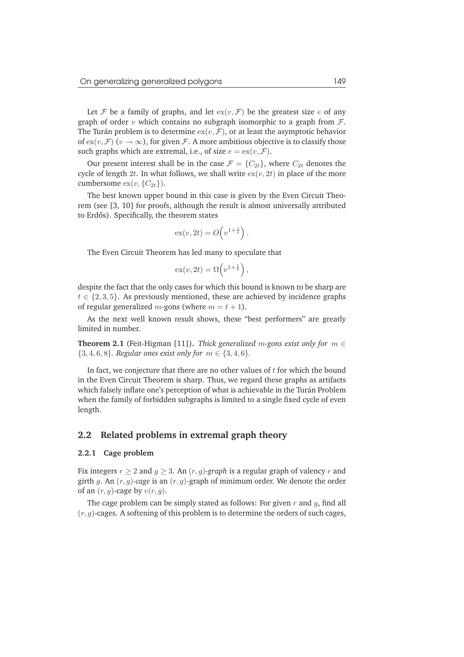Let F be a family of graphs, and let  $ex(v, \mathcal{F})$  be the greatest size e of any graph of order v which contains no subgraph isomorphic to a graph from  $\mathcal{F}$ . The Turán problem is to determine  $\mathrm{ex}(v, \mathcal{F})$ , or at least the asymptotic behavior of  $ex(v, \mathcal{F})$   $(v \to \infty)$ , for given  $\mathcal{F}$ . A more ambitious objective is to classify those such graphs which are extremal, i.e., of size  $e = \exp(v, \mathcal{F})$ .

Our present interest shall be in the case  $\mathcal{F} = \{C_{2t}\}\text{, where } C_{2t}$  denotes the cycle of length 2t. In what follows, we shall write  $ex(v, 2t)$  in place of the more cumbersome  $ex(v, {C_{2t}})$ .

The best known upper bound in this case is given by the Even Circuit Theorem (see [3, 10] for proofs, although the result is almost universally attributed to Erdős). Specifically, the theorem states

$$
\mathrm{ex}(v, 2t) = O\!\left(v^{1 + \frac{1}{t}}\right).
$$

The Even Circuit Theorem has led many to speculate that

$$
\mathrm{ex}(v, 2t) = \Omega\left(v^{1 + \frac{1}{t}}\right),
$$

despite the fact that the only cases for which this bound is known to be sharp are  $t \in \{2, 3, 5\}$ . As previously mentioned, these are achieved by incidence graphs of regular generalized *m*-gons (where  $m = t + 1$ ).

As the next well known result shows, these "best performers" are greatly limited in number.

**Theorem 2.1** (Feit-Higman [11]). *Thick generalized m-gons exist only for*  $m \in$ { $3, 4, 6, 8$ *}. Regular ones exist only for*  $m \in \{3, 4, 6\}$ *.* 

In fact, we conjecture that there are no other values of  $t$  for which the bound in the Even Circuit Theorem is sharp. Thus, we regard these graphs as artifacts which falsely inflate one's perception of what is achievable in the Turán Problem when the family of forbidden subgraphs is limited to a single fixed cycle of even length.

### **2.2 Related problems in extremal graph theory**

#### **2.2.1 Cage problem**

Fix integers  $r \geq 2$  and  $g \geq 3$ . An  $(r, g)$ -graph is a regular graph of valency r and girth g. An (r, g)*-cage* is an (r, g)-graph of minimum order. We denote the order of an  $(r, g)$ -cage by  $v(r, g)$ .

The cage problem can be simply stated as follows: For given  $r$  and  $g$ , find all  $(r, q)$ -cages. A softening of this problem is to determine the orders of such cages,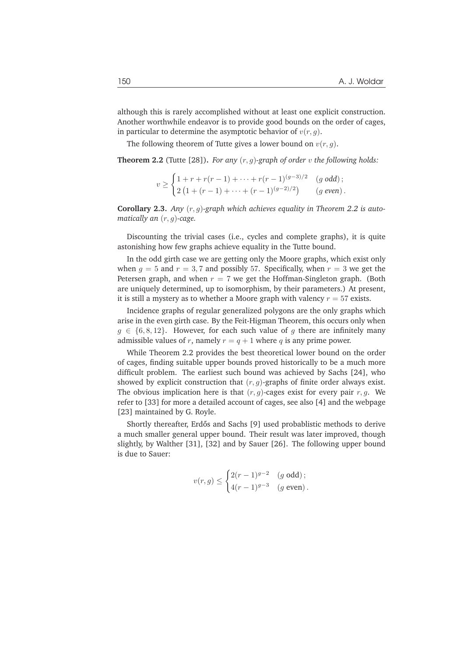although this is rarely accomplished without at least one explicit construction. Another worthwhile endeavor is to provide good bounds on the order of cages, in particular to determine the asymptotic behavior of  $v(r, g)$ .

The following theorem of Tutte gives a lower bound on  $v(r, q)$ .

**Theorem 2.2** (Tutte [28]). *For any*  $(r, q)$ -graph of order  $v$  the following holds:

$$
v \ge \begin{cases} 1 + r + r(r - 1) + \dots + r(r - 1)^{(g-3)/2} & (g \text{ odd}); \\ 2(1 + (r - 1) + \dots + (r - 1)^{(g-2)/2}) & (g \text{ even}). \end{cases}
$$

Corollary 2.3. Any  $(r, g)$ -graph which achieves equality in Theorem 2.2 is auto*matically an* (r, g)*-cage.*

Discounting the trivial cases (i.e., cycles and complete graphs), it is quite astonishing how few graphs achieve equality in the Tutte bound.

In the odd girth case we are getting only the Moore graphs, which exist only when  $g = 5$  and  $r = 3, 7$  and possibly 57. Specifically, when  $r = 3$  we get the Petersen graph, and when  $r = 7$  we get the Hoffman-Singleton graph. (Both are uniquely determined, up to isomorphism, by their parameters.) At present, it is still a mystery as to whether a Moore graph with valency  $r = 57$  exists.

Incidence graphs of regular generalized polygons are the only graphs which arise in the even girth case. By the Feit-Higman Theorem, this occurs only when  $g \in \{6, 8, 12\}$ . However, for each such value of g there are infinitely many admissible values of r, namely  $r = q + 1$  where q is any prime power.

While Theorem 2.2 provides the best theoretical lower bound on the order of cages, finding suitable upper bounds proved historically to be a much more difficult problem. The earliest such bound was achieved by Sachs [24], who showed by explicit construction that  $(r, q)$ -graphs of finite order always exist. The obvious implication here is that  $(r, q)$ -cages exist for every pair  $r, q$ . We refer to [33] for more a detailed account of cages, see also [4] and the webpage [23] maintained by G. Royle.

Shortly thereafter, Erdős and Sachs [9] used probablistic methods to derive a much smaller general upper bound. Their result was later improved, though slightly, by Walther [31], [32] and by Sauer [26]. The following upper bound is due to Sauer:

$$
v(r,g) \le \begin{cases} 2(r-1)^{g-2} & (g \text{ odd}); \\ 4(r-1)^{g-3} & (g \text{ even}). \end{cases}
$$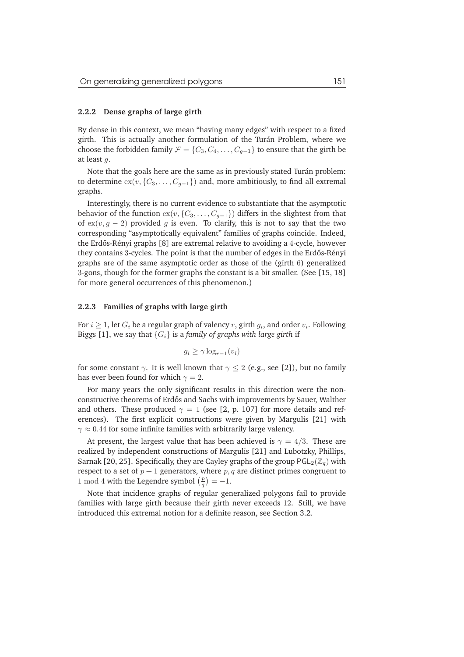#### **2.2.2 Dense graphs of large girth**

By dense in this context, we mean "having many edges" with respect to a fixed girth. This is actually another formulation of the Turán Problem, where we choose the forbidden family  $\mathcal{F} = \{C_3, C_4, \ldots, C_{q-1}\}\$  to ensure that the girth be at least g.

Note that the goals here are the same as in previously stated Turán problem: to determine  $ex(v, {C_3, \ldots, C_{g-1}})$  and, more ambitiously, to find all extremal graphs.

Interestingly, there is no current evidence to substantiate that the asymptotic behavior of the function  $ex(v, {C_3, \ldots, C_{q-1}})$  differs in the slightest from that of  $ex(v, g - 2)$  provided g is even. To clarify, this is not to say that the two corresponding "asymptotically equivalent" families of graphs coincide. Indeed, the Erdős-Rényi graphs [8] are extremal relative to avoiding a 4-cycle, however they contains 3-cycles. The point is that the number of edges in the Erdős-Rényi graphs are of the same asymptotic order as those of the (girth 6) generalized 3-gons, though for the former graphs the constant is a bit smaller. (See [15, 18] for more general occurrences of this phenomenon.)

### **2.2.3 Families of graphs with large girth**

For  $i\geq 1$ , let  $G_i$  be a regular graph of valency  $r$ , girth  $g_i$ , and order  $v_i$ . Following Biggs [1], we say that  ${G_i}$  is a *family of graphs with large girth* if

$$
g_i \ge \gamma \log_{r-1}(v_i)
$$

for some constant  $\gamma$ . It is well known that  $\gamma \leq 2$  (e.g., see [2]), but no family has ever been found for which  $\gamma = 2$ .

For many years the only significant results in this direction were the nonconstructive theorems of Erdős and Sachs with improvements by Sauer, Walther and others. These produced  $\gamma = 1$  (see [2, p. 107] for more details and references). The first explicit constructions were given by Margulis [21] with  $\gamma \approx 0.44$  for some infinite families with arbitrarily large valency.

At present, the largest value that has been achieved is  $\gamma = 4/3$ . These are realized by independent constructions of Margulis [21] and Lubotzky, Phillips, Sarnak [20, 25]. Specifically, they are Cayley graphs of the group  $PGL_2(\mathbb{Z}_q)$  with respect to a set of  $p + 1$  generators, where  $p, q$  are distinct primes congruent to 1 mod 4 with the Legendre symbol  $\left(\frac{p}{q}\right) = -1$ .

Note that incidence graphs of regular generalized polygons fail to provide families with large girth because their girth never exceeds 12. Still, we have introduced this extremal notion for a definite reason, see Section 3.2.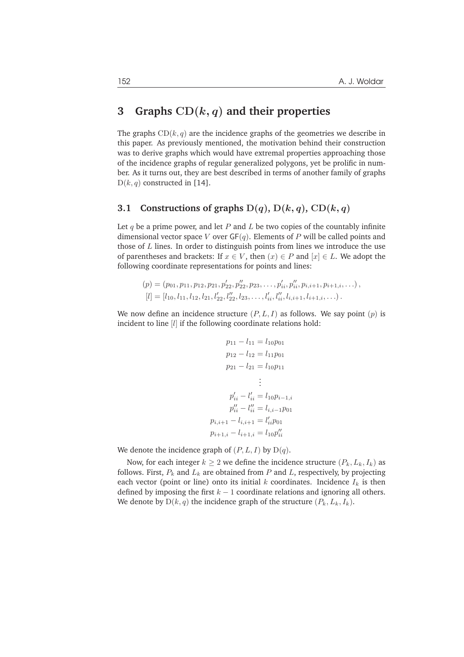# **3 Graphs** CD(k, q) **and their properties**

The graphs  $CD(k, q)$  are the incidence graphs of the geometries we describe in this paper. As previously mentioned, the motivation behind their construction was to derive graphs which would have extremal properties approaching those of the incidence graphs of regular generalized polygons, yet be prolific in number. As it turns out, they are best described in terms of another family of graphs  $D(k, q)$  constructed in [14].

### **3.1 Constructions of graphs**  $D(q)$ ,  $D(k, q)$ ,  $CD(k, q)$

Let q be a prime power, and let P and L be two copies of the countably infinite dimensional vector space V over  $GF(q)$ . Elements of P will be called points and those of  $L$  lines. In order to distinguish points from lines we introduce the use of parentheses and brackets: If  $x \in V$ , then  $(x) \in P$  and  $[x] \in L$ . We adopt the following coordinate representations for points and lines:

$$
(p) = (p_{01}, p_{11}, p_{12}, p_{21}, p'_{22}, p''_{22}, p_{23}, \dots, p'_{ii}, p''_{ii}, p_{i,i+1}, p_{i+1,i}, \dots),
$$
  
\n
$$
[l] = [l_{10}, l_{11}, l_{12}, l_{21}, l'_{22}, l''_{22}, l_{23}, \dots, l'_{ii}, l''_{ii}, l_{i,i+1}, l_{i+1,i}, \dots).
$$

We now define an incidence structure  $(P, L, I)$  as follows. We say point  $(p)$  is incident to line [*l*] if the following coordinate relations hold:

$$
p_{11} - l_{11} = l_{10}p_{01}
$$
  
\n
$$
p_{12} - l_{12} = l_{11}p_{01}
$$
  
\n
$$
p_{21} - l_{21} = l_{10}p_{11}
$$
  
\n
$$
\vdots
$$
  
\n
$$
p'_{ii} - l'_{ii} = l_{10}p_{i-1,i}
$$
  
\n
$$
p''_{ii} - l''_{ii} = l_{i,i-1}p_{01}
$$
  
\n
$$
p_{i,i+1} - l_{i,i+1} = l'_{ii}p_{01}
$$
  
\n
$$
p_{i+1,i} - l_{i+1,i} = l_{10}p''_{ii}
$$

We denote the incidence graph of  $(P, L, I)$  by  $D(q)$ .

Now, for each integer  $k \geq 2$  we define the incidence structure  $(P_k, L_k, I_k)$  as follows. First,  $P_k$  and  $L_k$  are obtained from P and L, respectively, by projecting each vector (point or line) onto its initial  $k$  coordinates. Incidence  $I_k$  is then defined by imposing the first  $k - 1$  coordinate relations and ignoring all others. We denote by  $D(k, q)$  the incidence graph of the structure  $(P_k, L_k, I_k)$ .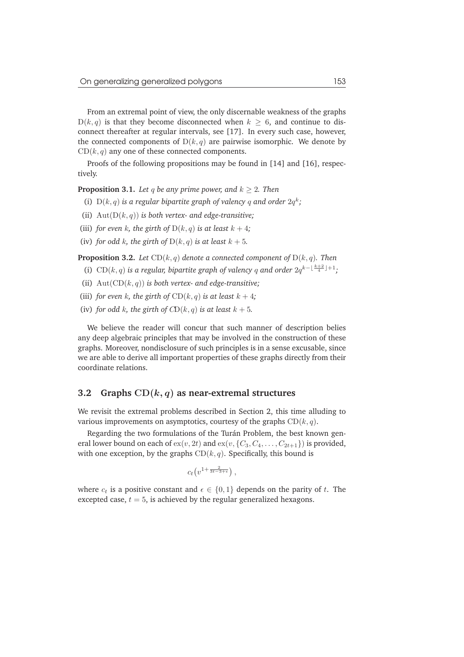From an extremal point of view, the only discernable weakness of the graphs  $D(k, q)$  is that they become disconnected when  $k \geq 6$ , and continue to disconnect thereafter at regular intervals, see [17]. In every such case, however, the connected components of  $D(k, q)$  are pairwise isomorphic. We denote by  $CD(k, q)$  any one of these connected components.

Proofs of the following propositions may be found in [14] and [16], respectively.

**Proposition 3.1.** *Let* q *be any prime power, and*  $k \geq 2$ *. Then* 

- (i)  $D(k, q)$  *is a regular bipartite graph of valency* q and order  $2q^k$ ;
- (ii) Aut(D(k, q)) *is both vertex- and edge-transitive;*
- (iii) *for even* k, the girth of  $D(k, q)$  *is at least*  $k + 4$ ;
- (iv) *for odd k, the girth of*  $D(k, q)$  *is at least*  $k + 5$ *.*

**Proposition 3.2.** *Let*  $CD(k, q)$  *denote a connected component of*  $D(k, q)$ *. Then* 

- (i) CD( $k, q$ ) is a regular, bipartite graph of valency q and order  $2q^{k-\lfloor \frac{k+2}{4} \rfloor + 1}$ ;
- (ii) Aut(CD(k, q)) *is both vertex- and edge-transitive;*
- (iii) *for even* k, the girth of  $CD(k, q)$  *is at least*  $k + 4$ ;
- (iv) *for odd k, the girth of*  $CD(k, q)$  *is at least*  $k + 5$ *.*

We believe the reader will concur that such manner of description belies any deep algebraic principles that may be involved in the construction of these graphs. Moreover, nondisclosure of such principles is in a sense excusable, since we are able to derive all important properties of these graphs directly from their coordinate relations.

### **3.2 Graphs** CD(k, q) **as near-extremal structures**

We revisit the extremal problems described in Section 2, this time alluding to various improvements on asymptotics, courtesy of the graphs  $CD(k, q)$ .

Regarding the two formulations of the Turán Problem, the best known general lower bound on each of  $ex(v, 2t)$  and  $ex(v, {C_3, C_4, \ldots, C_{2t+1}})$  is provided, with one exception, by the graphs  $CD(k, q)$ . Specifically, this bound is

$$
c_t\big(v^{1+\frac{2}{3t-3+\epsilon}}\big)\,,
$$

where  $c_t$  is a positive constant and  $\epsilon \in \{0,1\}$  depends on the parity of t. The excepted case,  $t = 5$ , is achieved by the regular generalized hexagons.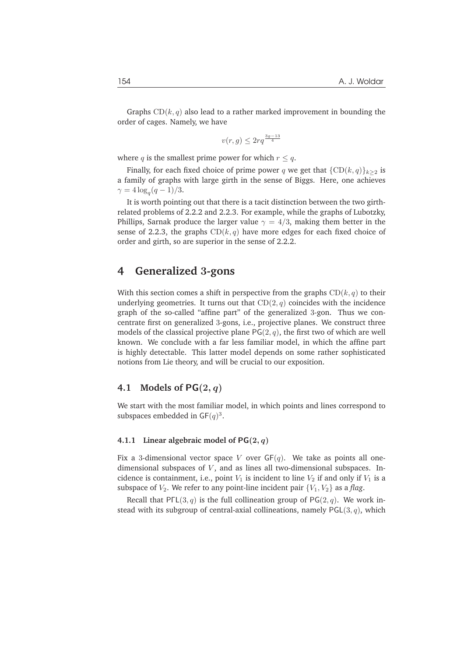Graphs  $CD(k, q)$  also lead to a rather marked improvement in bounding the order of cages. Namely, we have

$$
v(r,g) \le 2rq^{\frac{3g-13}{4}}
$$

where q is the smallest prime power for which  $r \leq q$ .

Finally, for each fixed choice of prime power q we get that  $\{CD(k, q)\}_{k>2}$  is a family of graphs with large girth in the sense of Biggs. Here, one achieves  $\gamma = 4 \log_q(q-1)/3.$ 

It is worth pointing out that there is a tacit distinction between the two girthrelated problems of 2.2.2 and 2.2.3. For example, while the graphs of Lubotzky, Phillips, Sarnak produce the larger value  $\gamma = 4/3$ , making them better in the sense of 2.2.3, the graphs  $CD(k, q)$  have more edges for each fixed choice of order and girth, so are superior in the sense of 2.2.2.

## **4 Generalized** 3**-gons**

With this section comes a shift in perspective from the graphs  $CD(k, q)$  to their underlying geometries. It turns out that  $CD(2, q)$  coincides with the incidence graph of the so-called "affine part" of the generalized 3-gon. Thus we concentrate first on generalized 3-gons, i.e., projective planes. We construct three models of the classical projective plane  $PG(2, q)$ , the first two of which are well known. We conclude with a far less familiar model, in which the affine part is highly detectable. This latter model depends on some rather sophisticated notions from Lie theory, and will be crucial to our exposition.

### **4.1 Models of** PG(2, q)

We start with the most familiar model, in which points and lines correspond to subspaces embedded in  $GF(q)^3$ .

### **4.1.1** Linear algebraic model of  $PG(2, q)$

Fix a 3-dimensional vector space V over  $GF(q)$ . We take as points all onedimensional subspaces of  $V$ , and as lines all two-dimensional subspaces. Incidence is containment, i.e., point  $V_1$  is incident to line  $V_2$  if and only if  $V_1$  is a subspace of  $V_2$ . We refer to any point-line incident pair  $\{V_1, V_2\}$  as a *flag*.

Recall that PΓL(3, q) is the full collineation group of PG(2, q). We work instead with its subgroup of central-axial collineations, namely  $PGL(3, q)$ , which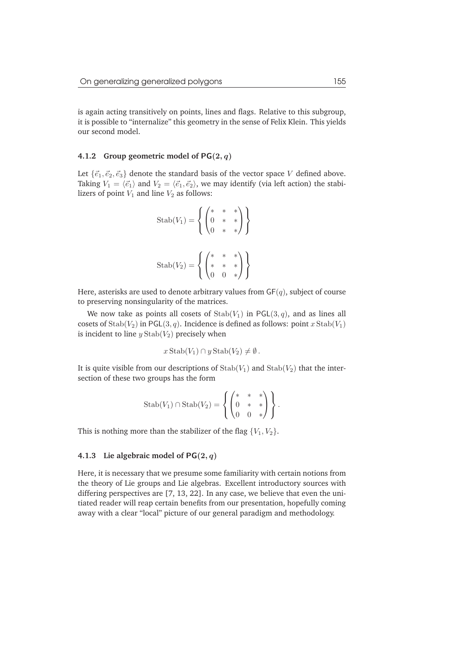is again acting transitively on points, lines and flags. Relative to this subgroup, it is possible to "internalize" this geometry in the sense of Felix Klein. This yields our second model.

### **4.1.2 Group geometric model of** PG(2, q)

Let  $\{\vec{e}_1, \vec{e}_2, \vec{e}_3\}$  denote the standard basis of the vector space V defined above. Taking  $V_1 = \langle \vec{e}_1 \rangle$  and  $V_2 = \langle \vec{e}_1, \vec{e}_2 \rangle$ , we may identify (via left action) the stabilizers of point  $V_1$  and line  $V_2$  as follows:

$$
\text{Stab}(V_1) = \left\{ \begin{pmatrix} * & * & * \\ 0 & * & * \\ 0 & * & * \end{pmatrix} \right\}
$$

$$
\text{Stab}(V_2) = \left\{ \begin{pmatrix} * & * & * \\ * & * & * \\ 0 & 0 & * \end{pmatrix} \right\}
$$

Here, asterisks are used to denote arbitrary values from  $GF(q)$ , subject of course to preserving nonsingularity of the matrices.

We now take as points all cosets of  $\text{Stab}(V_1)$  in PGL(3, q), and as lines all cosets of  $\text{Stab}(V_2)$  in PGL(3, q). Incidence is defined as follows: point x  $\text{Stab}(V_1)$ is incident to line  $y$  Stab $(V_2)$  precisely when

$$
x\operatorname{Stab}(V_1) \cap y\operatorname{Stab}(V_2) \neq \emptyset.
$$

It is quite visible from our descriptions of  $\text{Stab}(V_1)$  and  $\text{Stab}(V_2)$  that the intersection of these two groups has the form

$$
\operatorname{Stab}(V_1) \cap \operatorname{Stab}(V_2) = \left\{ \begin{pmatrix} * & * & * \\ 0 & * & * \\ 0 & 0 & * \end{pmatrix} \right\}.
$$

This is nothing more than the stabilizer of the flag  $\{V_1, V_2\}$ .

### **4.1.3 Lie algebraic model of** PG(2, q)

Here, it is necessary that we presume some familiarity with certain notions from the theory of Lie groups and Lie algebras. Excellent introductory sources with differing perspectives are [7, 13, 22]. In any case, we believe that even the unitiated reader will reap certain benefits from our presentation, hopefully coming away with a clear "local" picture of our general paradigm and methodology.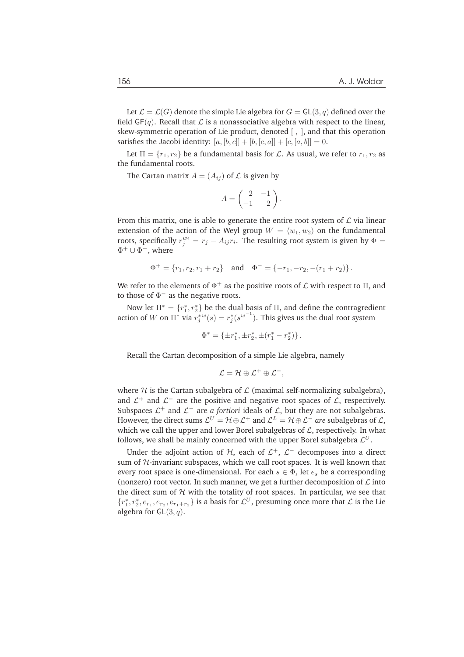Let  $\mathcal{L} = \mathcal{L}(G)$  denote the simple Lie algebra for  $G = GL(3, q)$  defined over the field  $GF(q)$ . Recall that  $\mathcal L$  is a nonassociative algebra with respect to the linear, skew-symmetric operation of Lie product, denoted [ , ], and that this operation satisfies the Jacobi identity:  $[a, [b, c]] + [b, [c, a]] + [c, [a, b]] = 0$ .

Let  $\Pi = \{r_1, r_2\}$  be a fundamental basis for  $\mathcal L$ . As usual, we refer to  $r_1, r_2$  as the fundamental roots.

The Cartan matrix  $A = (A_{ij})$  of  $\mathcal L$  is given by

$$
A = \begin{pmatrix} 2 & -1 \\ -1 & 2 \end{pmatrix}.
$$

From this matrix, one is able to generate the entire root system of  $\mathcal L$  via linear extension of the action of the Weyl group  $W = \langle w_1, w_2 \rangle$  on the fundamental roots, specifically  $r_j^{w_i} = r_j - A_{ij}r_i$ . The resulting root system is given by  $\Phi =$  $\Phi^+ \cup \Phi^-,$  where

$$
\Phi^+ = \{r_1, r_2, r_1 + r_2\} \quad \text{and} \quad \Phi^- = \{-r_1, -r_2, -(r_1 + r_2)\} \, .
$$

We refer to the elements of  $\Phi^+$  as the positive roots of  ${\cal L}$  with respect to  $\Pi,$  and to those of  $\Phi^-$  as the negative roots.

Now let  $\Pi^* = \{r_1^*, r_2^*\}$  be the dual basis of  $\Pi$ , and define the contragredient action of W on  $\prod^* \text{ via } r_j^{*w}(s) = r_j^{*}(s^{w^{-1}})$ . This gives us the dual root system

$$
\Phi^*=\{\pm r_1^*,\pm r_2^*,\pm(r_1^*-r_2^*)\}\,.
$$

Recall the Cartan decomposition of a simple Lie algebra, namely

$$
\mathcal{L}=\mathcal{H}\oplus\mathcal{L}^+\oplus\mathcal{L}^-,
$$

where  $H$  is the Cartan subalgebra of  $L$  (maximal self-normalizing subalgebra), and  $\mathcal{L}^+$  and  $\mathcal{L}^-$  are the positive and negative root spaces of  $\mathcal{L}$ , respectively. Subspaces  $\mathcal{L}^+$  and  $\mathcal{L}^-$  are *a fortiori* ideals of  $\mathcal{L}$ , but they are not subalgebras. However, the direct sums  $\mathcal{L}^U=\mathcal{H}\oplus \mathcal{L}^+$  and  $\mathcal{L}^L=\mathcal{H}\oplus \mathcal{L}^-$  *are* subalgebras of  $\mathcal{L},$ which we call the upper and lower Borel subalgebras of  $\mathcal{L}$ , respectively. In what follows, we shall be mainly concerned with the upper Borel subalgebra  $\mathcal{L}^U.$ 

Under the adjoint action of  $H$ , each of  $\mathcal{L}^+$ ,  $\mathcal{L}^-$  decomposes into a direct sum of  $H$ -invariant subspaces, which we call root spaces. It is well known that every root space is one-dimensional. For each  $s \in \Phi$ , let  $e_s$  be a corresponding (nonzero) root vector. In such manner, we get a further decomposition of  $\mathcal L$  into the direct sum of  $H$  with the totality of root spaces. In particular, we see that  ${r_1^*, r_2^*, e_{r_1}, e_{r_2}, e_{r_1+r_2}}$  is a basis for  $\mathcal{L}^U$ , presuming once more that  $\mathcal{L}$  is the Lie algebra for  $GL(3, q)$ .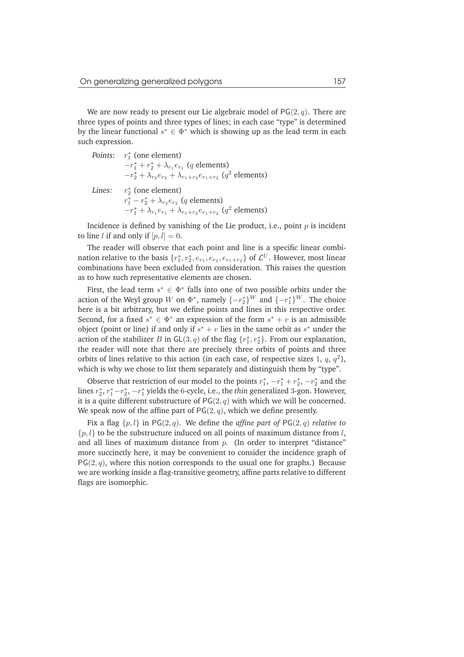We are now ready to present our Lie algebraic model of  $PG(2, q)$ . There are three types of points and three types of lines; in each case "type" is determined by the linear functional  $s^* \in \Phi^*$  which is showing up as the lead term in each such expression.

*Points:*  $r_1^*$  (one element)  $-r_1^* + r_2^* + \lambda_{r_1} e_{r_1}$  (*q* elements)  $-r_2^* + \lambda_{r_2}e_{r_2} + \lambda_{r_1+r_2}e_{r_1+r_2}$  ( $q^2$  elements) Lines: ∗ 2 (one element)  $r_1^* - r_2^* + \lambda_{r_2} e_{r_2}$  (*q* elements)  $-r_1^* + \lambda_{r_1} e_{r_1} + \lambda_{r_1+r_2} e_{r_1+r_2}$  ( $q^2$  elements)

Incidence is defined by vanishing of the Lie product, i.e., point  $p$  is incident to line *l* if and only if  $[p, l] = 0$ .

The reader will observe that each point and line is a specific linear combination relative to the basis  $\{r_1^*, r_2^*, e_{r_1}, e_{r_2}, e_{r_1+r_2}\}$  of  $\mathcal{L}^U$ . However, most linear combinations have been excluded from consideration. This raises the question as to how such representative elements are chosen.

First, the lead term  $s^* \in \Phi^*$  falls into one of two possible orbits under the action of the Weyl group  $W$  on  $\Phi^*$ , namely  $\{-r_2^*\}^W$  and  $\{-r_1^*\}^W$ . The choice here is a bit arbitrary, but we define points and lines in this respective order. Second, for a fixed  $s^* \in \Phi^*$  an expression of the form  $s^* + v$  is an admissible object (point or line) if and only if  $s^* + v$  lies in the same orbit as  $s^*$  under the action of the stabilizer B in  $GL(3, q)$  of the flag  $\{r_1^*, r_2^*\}$ . From our explanation, the reader will note that there are precisely three orbits of points and three orbits of lines relative to this action (in each case, of respective sizes 1,  $q$ ,  $q^2$ ), which is why we chose to list them separately and distinguish them by "type".

Observe that restriction of our model to the points  $r_1^*$ ,  $-r_1^* + r_2^*$ ,  $-r_2^*$  and the lines  $r_2^*, r_1^*$  – $r_2^*, -r_1^*$  yields the 6-cycle, i.e., the *thin* generalized 3-gon. However, it is a quite different substructure of  $PG(2, q)$  with which we will be concerned. We speak now of the affine part of  $PG(2, q)$ , which we define presently.

Fix a flag  $\{p, l\}$  in PG(2, q). We define the *affine part of* PG(2, q) *relative to*  $\{p, l\}$  to be the substructure induced on all points of maximum distance from l, and all lines of maximum distance from  $p$ . (In order to interpret "distance" more succinctly here, it may be convenient to consider the incidence graph of  $PG(2, q)$ , where this notion corresponds to the usual one for graphs.) Because we are working inside a flag-transitive geometry, affine parts relative to different flags are isomorphic.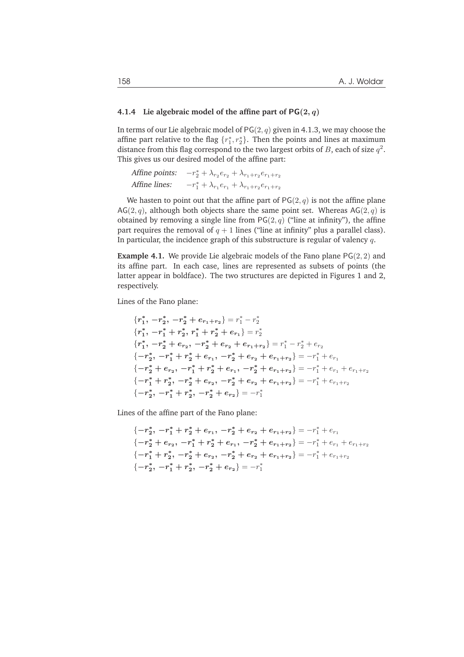### **4.1.4 Lie algebraic model of the affine part of** PG(2, q)

In terms of our Lie algebraic model of  $PG(2, q)$  given in 4.1.3, we may choose the affine part relative to the flag  $\{r_1^*, r_2^*\}$ . Then the points and lines at maximum distance from this flag correspond to the two largest orbits of B, each of size  $q^2$ . This gives us our desired model of the affine part:

```
Affine points:
                         x_2^* + \lambda_{r_2} e_{r_2} + \lambda_{r_1+r_2} e_{r_1+r_2}Affine lines:
                         x_1^* + \lambda_{r_1} e_{r_1} + \lambda_{r_1+r_2} e_{r_1+r_2}
```
We hasten to point out that the affine part of  $PG(2, q)$  is not the affine plane  $AG(2, q)$ , although both objects share the same point set. Whereas  $AG(2, q)$  is obtained by removing a single line from  $PG(2, q)$  ("line at infinity"), the affine part requires the removal of  $q + 1$  lines ("line at infinity" plus a parallel class). In particular, the incidence graph of this substructure is regular of valency  $q$ .

**Example 4.1.** We provide Lie algebraic models of the Fano plane  $PG(2, 2)$  and its affine part. In each case, lines are represented as subsets of points (the latter appear in boldface). The two structures are depicted in Figures 1 and 2, respectively.

Lines of the Fano plane:

$$
\{r_1^*, -r_2^*, -r_2^* + e_{r_1+r_2}\} = r_1^* - r_2^*
$$
\n
$$
\{r_1^*, -r_1^* + r_2^*, r_1^* + r_2^* + e_{r_1}\} = r_2^*
$$
\n
$$
\{r_1^*, -r_2^* + e_{r_2}, -r_2^* + e_{r_2} + e_{r_1+r_2}\} = r_1^* - r_2^* + e_{r_2}
$$
\n
$$
\{-r_2^*, -r_1^* + r_2^* + e_{r_1}, -r_2^* + e_{r_2} + e_{r_1+r_2}\} = -r_1^* + e_{r_1}
$$
\n
$$
\{-r_2^* + e_{r_2}, -r_1^* + r_2^* + e_{r_1}, -r_2^* + e_{r_1+r_2}\} = -r_1^* + e_{r_1} + e_{r_1+r_2}
$$
\n
$$
\{-r_1^* + r_2^*, -r_2^* + e_{r_2}, -r_2^* + e_{r_2} + e_{r_1+r_2}\} = -r_1^* + e_{r_1+r_2}
$$
\n
$$
\{-r_2^*, -r_1^* + r_2^*, -r_2^* + e_{r_2}\} = -r_1^*
$$

Lines of the affine part of the Fano plane:

$$
\{-r_2^*, -r_1^* + r_2^* + e_{r_1}, -r_2^* + e_{r_2} + e_{r_1+r_2}\} = -r_1^* + e_{r_1}
$$
  
\n
$$
\{-r_2^* + e_{r_2}, -r_1^* + r_2^* + e_{r_1}, -r_2^* + e_{r_1+r_2}\} = -r_1^* + e_{r_1} + e_{r_1+r_2}
$$
  
\n
$$
\{-r_1^* + r_2^*, -r_2^* + e_{r_2}, -r_2^* + e_{r_2} + e_{r_1+r_2}\} = -r_1^* + e_{r_1+r_2}
$$
  
\n
$$
\{-r_2^*, -r_1^* + r_2^*, -r_2^* + e_{r_2}\} = -r_1^*
$$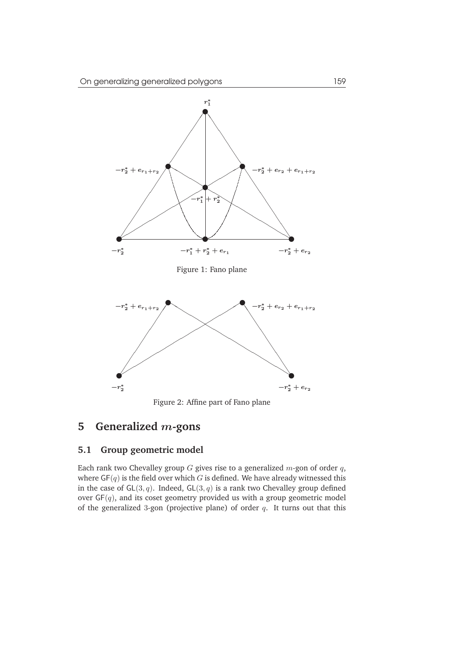

Figure 2: Affine part of Fano plane

# **5 Generalized** m**-gons**

## **5.1 Group geometric model**

Each rank two Chevalley group  $G$  gives rise to a generalized  $m$ -gon of order  $q$ , where  $GF(q)$  is the field over which G is defined. We have already witnessed this in the case of  $GL(3, q)$ . Indeed,  $GL(3, q)$  is a rank two Chevalley group defined over  $GF(q)$ , and its coset geometry provided us with a group geometric model of the generalized 3-gon (projective plane) of order  $q$ . It turns out that this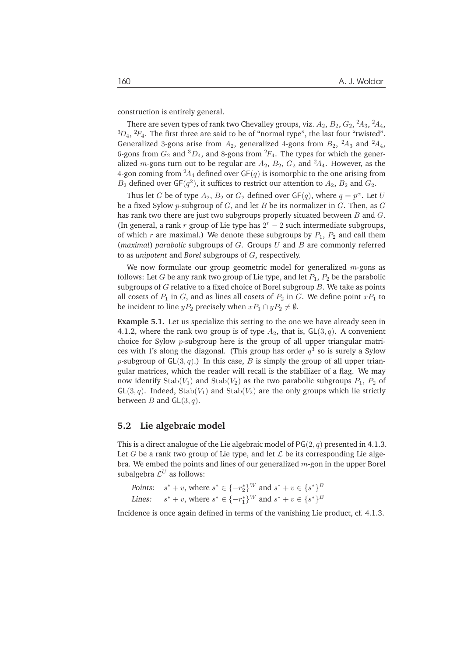construction is entirely general.

There are seven types of rank two Chevalley groups, viz.  $A_2, B_2, G_2, {}^2\!A_3, {}^2\!A_4,$  ${}^{3}D_4$ ,  ${}^{2}F_4$ . The first three are said to be of "normal type", the last four "twisted". Generalized 3-gons arise from  $A_2$ , generalized 4-gons from  $B_2$ ,  ${}^2A_3$  and  ${}^2A_4$ , 6-gons from  $G_2$  and  ${}^3D_4$ , and 8-gons from  ${}^2F_4$ . The types for which the generalized *m*-gons turn out to be regular are  $A_2$ ,  $B_2$ ,  $G_2$  and  $^2A_4$ . However, as the 4-gon coming from  ${}^2A_4$  defined over GF(q) is isomorphic to the one arising from  $B_2$  defined over GF( $q^2$ ), it suffices to restrict our attention to  $A_2$ ,  $B_2$  and  $G_2$ .

Thus let G be of type  $A_2$ ,  $B_2$  or  $G_2$  defined over  $\mathsf{GF}(q)$ , where  $q = p^{\alpha}$ . Let U be a fixed Sylow p-subgroup of  $G$ , and let  $B$  be its normalizer in  $G$ . Then, as  $G$ has rank two there are just two subgroups properly situated between  $B$  and  $G$ . (In general, a rank  $r$  group of Lie type has  $2r - 2$  such intermediate subgroups, of which r are maximal.) We denote these subgroups by  $P_1$ ,  $P_2$  and call them (*maximal*) *parabolic* subgroups of G. Groups U and B are commonly referred to as *unipotent* and *Borel* subgroups of G, respectively.

We now formulate our group geometric model for generalized  $m$ -gons as follows: Let G be any rank two group of Lie type, and let  $P_1$ ,  $P_2$  be the parabolic subgroups of  $G$  relative to a fixed choice of Borel subgroup  $B$ . We take as points all cosets of  $P_1$  in G, and as lines all cosets of  $P_2$  in G. We define point  $xP_1$  to be incident to line  $yP_2$  precisely when  $xP_1 \cap yP_2 \neq \emptyset$ .

**Example 5.1.** Let us specialize this setting to the one we have already seen in 4.1.2, where the rank two group is of type  $A_2$ , that is,  $GL(3, q)$ . A convenient choice for Sylow p-subgroup here is the group of all upper triangular matrices with 1's along the diagonal. (This group has order  $q^3$  so is surely a Sylow p-subgroup of  $GL(3, q)$ .) In this case, B is simply the group of all upper triangular matrices, which the reader will recall is the stabilizer of a flag. We may now identify  $\text{Stab}(V_1)$  and  $\text{Stab}(V_2)$  as the two parabolic subgroups  $P_1$ ,  $P_2$  of  $GL(3, q)$ . Indeed,  $Stab(V_1)$  and  $Stab(V_2)$  are the only groups which lie strictly between B and  $GL(3, q)$ .

### **5.2 Lie algebraic model**

This is a direct analogue of the Lie algebraic model of  $PG(2, q)$  presented in 4.1.3. Let G be a rank two group of Lie type, and let  $\mathcal L$  be its corresponding Lie algebra. We embed the points and lines of our generalized  $m$ -gon in the upper Borel subalgebra  $\mathcal{L}^U$  as follows:

```
Points: s^* + v, where s^* \in \{-r_2^*\}^W and s^* + v \in \{s^*\}^BLines:
 * + v, where s^* \in \{-r_1^*\}^W and s^* + v \in \{s^*\}^B
```
Incidence is once again defined in terms of the vanishing Lie product, cf. 4.1.3.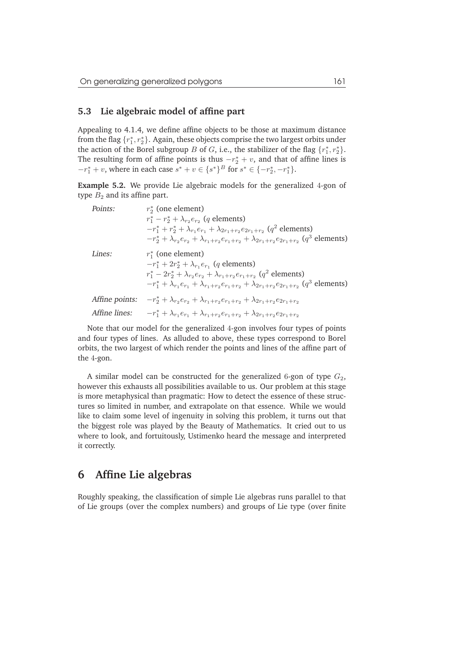### **5.3 Lie algebraic model of affine part**

Appealing to 4.1.4, we define affine objects to be those at maximum distance from the flag  $\{r_1^*, r_2^*\}$ . Again, these objects comprise the two largest orbits under the action of the Borel subgroup B of G, i.e., the stabilizer of the flag  $\{r_1^*, r_2^*\}$ . The resulting form of affine points is thus  $-r_2^* + v$ , and that of affine lines is  $-r_1^* + v$ , where in each case  $s^* + v \in \{s^*\}^B$  for  $s^* \in \{-r_2^*, -r_1^*\}$ .

**Example 5.2.** We provide Lie algebraic models for the generalized 4-gon of type  $B_2$  and its affine part.

| Points:        | $r_{2}^{*}$ (one element)                                                                                                    |
|----------------|------------------------------------------------------------------------------------------------------------------------------|
|                | $r_1^* - r_2^* + \lambda_{r_2} e_{r_2}$ (q elements)                                                                         |
|                | $-r_1^* + r_2^* + \lambda_{r_1} e_{r_1} + \lambda_{2r_1+r_2} e_{2r_1+r_2}$ (q <sup>2</sup> elements)                         |
|                | $-r_2^* + \lambda_{r_2}e_{r_2} + \lambda_{r_1+r_2}e_{r_1+r_2} + \lambda_{2r_1+r_2}e_{2r_1+r_2}$ (q <sup>3</sup> elements)    |
| Lines:         | $r_{1}^{*}$ (one element)                                                                                                    |
|                | $-r_1^* + 2r_2^* + \lambda_{r_1} e_{r_1}$ (q elements)                                                                       |
|                | $r_1^* - 2r_2^* + \lambda_{r_2}e_{r_2} + \lambda_{r_1+r_2}e_{r_1+r_2}$ (q <sup>2</sup> elements)                             |
|                | $-r_1^* + \lambda_{r_1} e_{r_1} + \lambda_{r_1+r_2} e_{r_1+r_2} + \lambda_{2r_1+r_2} e_{2r_1+r_2}$ (q <sup>3</sup> elements) |
| Affine points: | $-r_2^* + \lambda_{r_2}e_{r_2} + \lambda_{r_1+r_2}e_{r_1+r_2} + \lambda_{2r_1+r_2}e_{2r_1+r_2}$                              |
| Affine lines:  | $-r_1^* + \lambda_{r_1}e_{r_1} + \lambda_{r_1+r_2}e_{r_1+r_2} + \lambda_{2r_1+r_2}e_{2r_1+r_2}$                              |

Note that our model for the generalized 4-gon involves four types of points and four types of lines. As alluded to above, these types correspond to Borel orbits, the two largest of which render the points and lines of the affine part of the 4-gon.

A similar model can be constructed for the generalized 6-gon of type  $G_2$ , however this exhausts all possibilities available to us. Our problem at this stage is more metaphysical than pragmatic: How to detect the essence of these structures so limited in number, and extrapolate on that essence. While we would like to claim some level of ingenuity in solving this problem, it turns out that the biggest role was played by the Beauty of Mathematics. It cried out to us where to look, and fortuitously, Ustimenko heard the message and interpreted it correctly.

# **6 Affine Lie algebras**

Roughly speaking, the classification of simple Lie algebras runs parallel to that of Lie groups (over the complex numbers) and groups of Lie type (over finite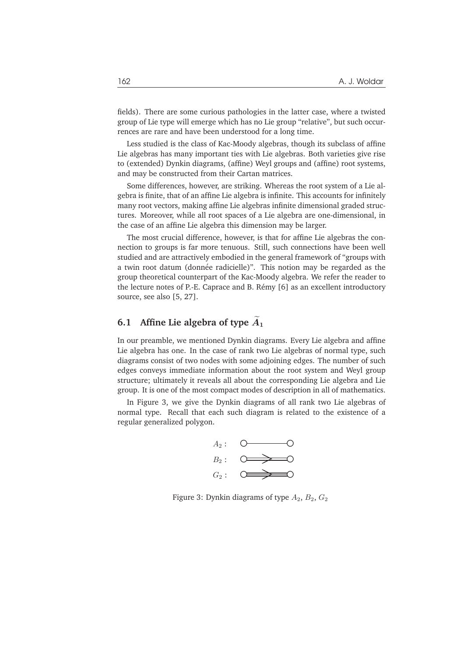fields). There are some curious pathologies in the latter case, where a twisted group of Lie type will emerge which has no Lie group "relative", but such occurrences are rare and have been understood for a long time.

Less studied is the class of Kac-Moody algebras, though its subclass of affine Lie algebras has many important ties with Lie algebras. Both varieties give rise to (extended) Dynkin diagrams, (affine) Weyl groups and (affine) root systems, and may be constructed from their Cartan matrices.

Some differences, however, are striking. Whereas the root system of a Lie algebra is finite, that of an affine Lie algebra is infinite. This accounts for infinitely many root vectors, making affine Lie algebras infinite dimensional graded structures. Moreover, while all root spaces of a Lie algebra are one-dimensional, in the case of an affine Lie algebra this dimension may be larger.

The most crucial difference, however, is that for affine Lie algebras the connection to groups is far more tenuous. Still, such connections have been well studied and are attractively embodied in the general framework of "groups with a twin root datum (donnée radicielle)". This notion may be regarded as the group theoretical counterpart of the Kac-Moody algebra. We refer the reader to the lecture notes of P.-E. Caprace and B. Rémy [6] as an excellent introductory source, see also [5, 27].

## **6.1** Affine Lie algebra of type  $\widetilde{A}_1$

In our preamble, we mentioned Dynkin diagrams. Every Lie algebra and affine Lie algebra has one. In the case of rank two Lie algebras of normal type, such diagrams consist of two nodes with some adjoining edges. The number of such edges conveys immediate information about the root system and Weyl group structure; ultimately it reveals all about the corresponding Lie algebra and Lie group. It is one of the most compact modes of description in all of mathematics.

In Figure 3, we give the Dynkin diagrams of all rank two Lie algebras of normal type. Recall that each such diagram is related to the existence of a regular generalized polygon.



Figure 3: Dynkin diagrams of type  $A_2$ ,  $B_2$ ,  $G_2$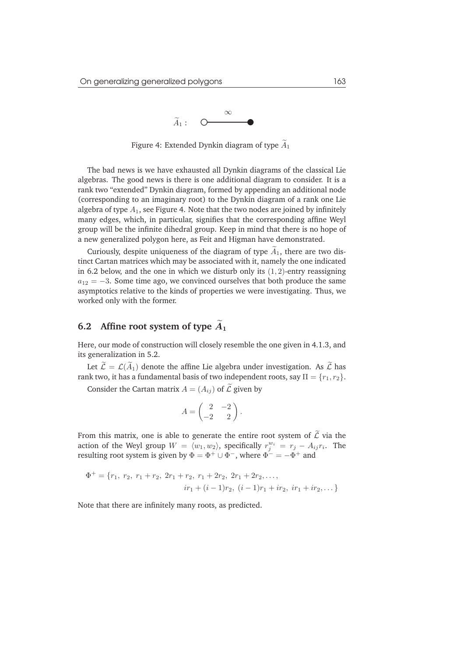

Figure 4: Extended Dynkin diagram of type  $\widetilde{A}_1$ 

The bad news is we have exhausted all Dynkin diagrams of the classical Lie algebras. The good news is there is one additional diagram to consider. It is a rank two "extended" Dynkin diagram, formed by appending an additional node (corresponding to an imaginary root) to the Dynkin diagram of a rank one Lie algebra of type  $A_1$ , see Figure 4. Note that the two nodes are joined by infinitely many edges, which, in particular, signifies that the corresponding affine Weyl group will be the infinite dihedral group. Keep in mind that there is no hope of a new generalized polygon here, as Feit and Higman have demonstrated.

Curiously, despite uniqueness of the diagram of type  $\widetilde{A}_1$ , there are two distinct Cartan matrices which may be associated with it, namely the one indicated in 6.2 below, and the one in which we disturb only its  $(1, 2)$ -entry reassigning  $a_{12} = -3$ . Some time ago, we convinced ourselves that both produce the same asymptotics relative to the kinds of properties we were investigating. Thus, we worked only with the former.

## **6.2** Affine root system of type  $\widetilde{A}_1$

Here, our mode of construction will closely resemble the one given in 4.1.3, and its generalization in 5.2.

Let  $\widetilde{\mathcal{L}} = \mathcal{L}(\widetilde{A}_1)$  denote the affine Lie algebra under investigation. As  $\widetilde{\mathcal{L}}$  has rank two, it has a fundamental basis of two independent roots, say  $\Pi = \{r_1, r_2\}$ .

Consider the Cartan matrix  $A = (A_{ij})$  of  $\widetilde{\mathcal{L}}$  given by

$$
A = \begin{pmatrix} 2 & -2 \\ -2 & 2 \end{pmatrix}.
$$

From this matrix, one is able to generate the entire root system of  $\widetilde{\mathcal{L}}$  via the action of the Weyl group  $W = \langle w_1, w_2 \rangle$ , specifically  $r_j^{w_i} = r_j - A_{ij}r_i$ . The resulting root system is given by  $\Phi = \Phi^+ \cup \Phi^-,$  where  $\Phi^- = -\Phi^+$  and

$$
\Phi^+ = \{r_1, r_2, r_1 + r_2, 2r_1 + r_2, r_1 + 2r_2, 2r_1 + 2r_2, \dots,
$$
  

$$
ir_1 + (i - 1)r_2, (i - 1)r_1 + ir_2, ir_1 + ir_2, \dots\}
$$

Note that there are infinitely many roots, as predicted.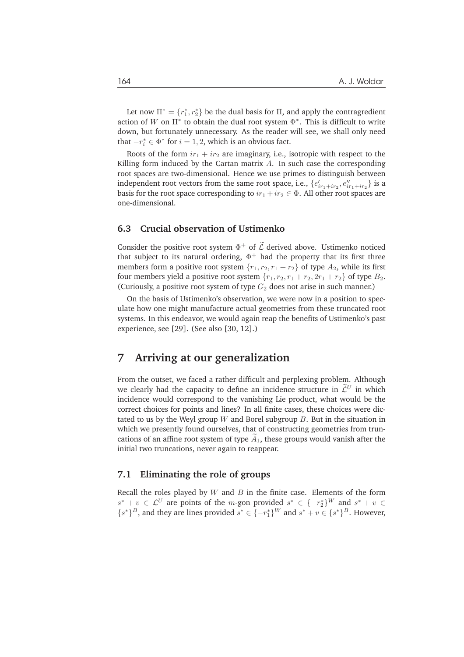Let now  $\Pi^* = \{r_1^*, r_2^*\}$  be the dual basis for  $\Pi$ , and apply the contragredient action of W on  $\Pi^*$  to obtain the dual root system  $\Phi^*$ . This is difficult to write down, but fortunately unnecessary. As the reader will see, we shall only need that  $-r_i^* \in \Phi^*$  for  $i = 1, 2$ , which is an obvious fact.

Roots of the form  $ir_1 + ir_2$  are imaginary, i.e., isotropic with respect to the Killing form induced by the Cartan matrix  $A$ . In such case the corresponding root spaces are two-dimensional. Hence we use primes to distinguish between independent root vectors from the same root space, i.e.,  $\{e_{ir_1+ir_2}', e_{ir_1+ir_2}''\}$  is a basis for the root space corresponding to  $ir_1 + ir_2 \in \Phi$ . All other root spaces are one-dimensional.

## **6.3 Crucial observation of Ustimenko**

Consider the positive root system  $\Phi^+$  of  $\mathcal L$  derived above. Ustimenko noticed that subject to its natural ordering,  $\Phi^+$  had the property that its first three members form a positive root system  $\{r_1, r_2, r_1 + r_2\}$  of type  $A_2$ , while its first four members yield a positive root system  $\{r_1, r_2, r_1 + r_2, 2r_1 + r_2\}$  of type  $B_2$ . (Curiously, a positive root system of type  $G_2$  does not arise in such manner.)

On the basis of Ustimenko's observation, we were now in a position to speculate how one might manufacture actual geometries from these truncated root systems. In this endeavor, we would again reap the benefits of Ustimenko's past experience, see [29]. (See also [30, 12].)

# **7 Arriving at our generalization**

From the outset, we faced a rather difficult and perplexing problem. Although we clearly had the capacity to define an incidence structure in  $\widetilde{\mathcal{L}}^U$  in which incidence would correspond to the vanishing Lie product, what would be the correct choices for points and lines? In all finite cases, these choices were dictated to us by the Weyl group  $W$  and Borel subgroup  $B$ . But in the situation in which we presently found ourselves, that of constructing geometries from truncations of an affine root system of type  $A_1$ , these groups would vanish after the initial two truncations, never again to reappear.

### **7.1 Eliminating the role of groups**

Recall the roles played by  $W$  and  $B$  in the finite case. Elements of the form  $s^* + v \in \mathcal{L}^U$  are points of the *m*-gon provided  $s^* \in \{-r_2^*\}^W$  and  $s^* + v \in$  ${s^*}^B$ , and they are lines provided  $s^* \in {-r_1^*}^W$  and  $s^* + v \in {s^*}^B$ . However,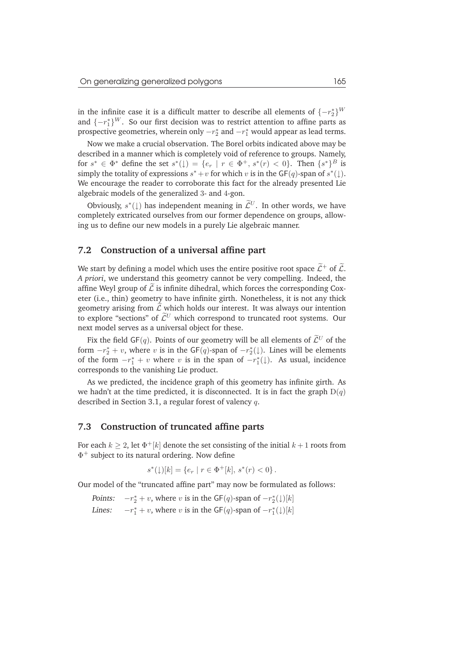in the infinite case it is a difficult matter to describe all elements of  $\{-r_2^*\}^W$ and  $\{-r_1^*\}^W$ . So our first decision was to restrict attention to affine parts as prospective geometries, wherein only  $-r_2^*$  and  $-r_1^*$  would appear as lead terms.

Now we make a crucial observation. The Borel orbits indicated above may be described in a manner which is completely void of reference to groups. Namely, for  $s^* \in \Phi^*$  define the set  $s^*(\downarrow) = \{e_r \mid r \in \Phi^+, s^*(r) < 0\}$ . Then  $\{s^*\}^B$  is simply the totality of expressions  $s^* + v$  for which v is in the  $GF(q)$ -span of  $s^*(\downarrow)$ . We encourage the reader to corroborate this fact for the already presented Lie algebraic models of the generalized 3- and 4-gon.

Obviously,  $s^*(\downarrow)$  has independent meaning in  $\mathcal{L}^U$ . In other words, we have completely extricated ourselves from our former dependence on groups, allowing us to define our new models in a purely Lie algebraic manner.

### **7.2 Construction of a universal affine part**

We start by defining a model which uses the entire positive root space  $\widetilde{\mathcal{L}}^+$  of  $\widetilde{\mathcal{L}}$ . *A priori*, we understand this geometry cannot be very compelling. Indeed, the affine Weyl group of  $\mathcal L$  is infinite dihedral, which forces the corresponding Coxeter (i.e., thin) geometry to have infinite girth. Nonetheless, it is not any thick geometry arising from  $\tilde{\mathcal{L}}$  which holds our interest. It was always our intention to explore "sections" of  $\widetilde{\mathcal{L}}^U$  which correspond to truncated root systems. Our next model serves as a universal object for these.

Fix the field GF(q). Points of our geometry will be all elements of  $\widetilde{\mathcal{L}}^U$  of the form  $-r_2^* + v$ , where v is in the GF(q)-span of  $-r_2^*(\downarrow)$ . Lines will be elements of the form  $-r_1^* + v$  where v is in the span of  $-r_1^*(\downarrow)$ . As usual, incidence corresponds to the vanishing Lie product.

As we predicted, the incidence graph of this geometry has infinite girth. As we hadn't at the time predicted, it is disconnected. It is in fact the graph  $D(q)$ described in Section 3.1, a regular forest of valency q.

### **7.3 Construction of truncated affine parts**

For each  $k \geq 2$ , let  $\Phi^+[k]$  denote the set consisting of the initial  $k+1$  roots from  $\Phi^+$  subject to its natural ordering. Now define

$$
s^*(1)[k] = \{e_r \mid r \in \Phi^+[k], s^*(r) < 0\}.
$$

Our model of the "truncated affine part" may now be formulated as follows:

Points:  $-r_2^* + v$ , where v is in the GF(q)-span of  $-r_2^*(\downarrow)[k]$ Lines:  $x_1^* + v$ , where v is in the GF(q)-span of  $-r_1^*(\downarrow)[k]$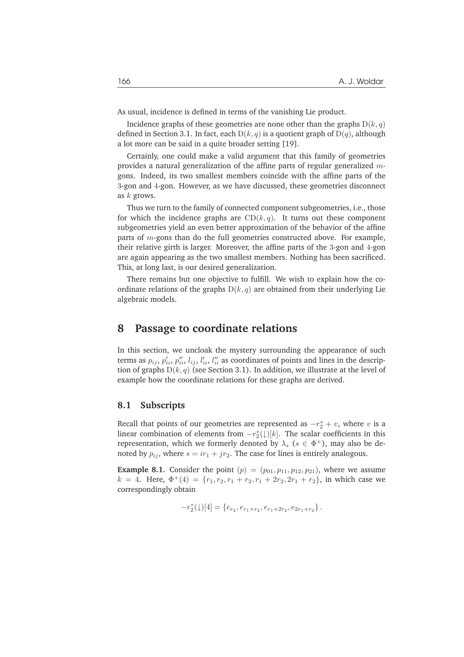As usual, incidence is defined in terms of the vanishing Lie product.

Incidence graphs of these geometries are none other than the graphs  $D(k, q)$ defined in Section 3.1. In fact, each  $D(k, q)$  is a quotient graph of  $D(q)$ , although a lot more can be said in a quite broader setting [19].

Certainly, one could make a valid argument that this family of geometries provides a natural generalization of the affine parts of regular generalized  $m$ gons. Indeed, its two smallest members coincide with the affine parts of the 3-gon and 4-gon. However, as we have discussed, these geometries disconnect as  $k$  grows.

Thus we turn to the family of connected component subgeometries, i.e., those for which the incidence graphs are  $CD(k, q)$ . It turns out these component subgeometries yield an even better approximation of the behavior of the affine parts of  $m$ -gons than do the full geometries constructed above. For example, their relative girth is larger. Moreover, the affine parts of the 3-gon and 4-gon are again appearing as the two smallest members. Nothing has been sacrificed. This, at long last, is our desired generalization.

There remains but one objective to fulfill. We wish to explain how the coordinate relations of the graphs  $D(k, q)$  are obtained from their underlying Lie algebraic models.

## **8 Passage to coordinate relations**

In this section, we uncloak the mystery surrounding the appearance of such terms as  $p_{ij}$ ,  $p'_{ii}$ ,  $p''_{ii}$ ,  $l'_{ij}$ ,  $l''_{ii}$  as coordinates of points and lines in the description of graphs  $D(k, q)$  (see Section 3.1). In addition, we illustrate at the level of example how the coordinate relations for these graphs are derived.

### **8.1 Subscripts**

Recall that points of our geometries are represented as  $-r_2^* + v$ , where v is a linear combination of elements from  $-r_2^*(\downarrow)[k]$ . The scalar coefficients in this representation, which we formerly denoted by  $\lambda_s$  ( $s \in \Phi^+$ ), may also be denoted by  $p_{ij}$ , where  $s = ir_1 + jr_2$ . The case for lines is entirely analogous.

**Example 8.1.** Consider the point  $(p) = (p_{01}, p_{11}, p_{12}, p_{21})$ , where we assume  $k = 4$ . Here,  $\Phi^+(4) = \{r_1, r_2, r_1 + r_2, r_1 + 2r_2, 2r_1 + r_2\}$ , in which case we correspondingly obtain

$$
-r_2^*(\downarrow)[4] = \{e_{r_2}, e_{r_1+r_2}, e_{r_1+2r_2}, e_{2r_1+r_2}\}.
$$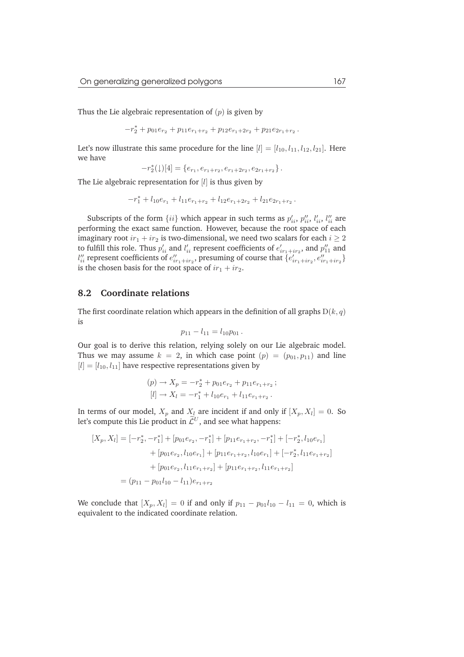Thus the Lie algebraic representation of  $(p)$  is given by

 $-r_2^* + p_{01}e_{r_2} + p_{11}e_{r_1+r_2} + p_{12}e_{r_1+2r_2} + p_{21}e_{2r_1+r_2}$ .

Let's now illustrate this same procedure for the line  $[l] = [l_{10}, l_{11}, l_{12}, l_{21}]$ . Here we have

 $-r_2^*(\downarrow)[4] = \{e_{r_1}, e_{r_1+r_2}, e_{r_1+2r_2}, e_{2r_1+r_2}\}$ .

The Lie algebraic representation for [l] is thus given by

 $-r_1^* + l_{10}e_{r_1} + l_{11}e_{r_1+r_2} + l_{12}e_{r_1+2r_2} + l_{21}e_{2r_1+r_2}$ .

Subscripts of the form  $\{ii\}$  which appear in such terms as  $p'_{ii}, p''_{ii}, l'_{ii}, l''_{ii}$  are performing the exact same function. However, because the root space of each imaginary root  $ir_1 + ir_2$  is two-dimensional, we need two scalars for each  $i \geq 2$ to fulfill this role. Thus  $p'_{ii}$  and  $l'_{ii}$  represent coefficients of  $e'_{ir_1+ir_2}$ , and  $p''_{11}$  and  $l''_{ii}$  represent coefficients of  $e''_{ir_1+ir_2}$ , presuming of course that  $\{e'_{ir_1+ir_2}, e''_{ir_1+ir_2}\}$ is the chosen basis for the root space of  $ir_1 + ir_2$ .

### **8.2 Coordinate relations**

The first coordinate relation which appears in the definition of all graphs  $D(k, q)$ is

$$
p_{11} - l_{11} = l_{10}p_{01}.
$$

Our goal is to derive this relation, relying solely on our Lie algebraic model. Thus we may assume  $k = 2$ , in which case point  $(p) = (p_{01}, p_{11})$  and line  $[l] = [l_{10}, l_{11}]$  have respective representations given by

$$
(p) \to X_p = -r_2^* + p_{01}e_{r_2} + p_{11}e_{r_1+r_2};
$$
  
\n
$$
[l] \to X_l = -r_1^* + l_{10}e_{r_1} + l_{11}e_{r_1+r_2}.
$$

In terms of our model,  $X_p$  and  $X_l$  are incident if and only if  $[X_p, X_l] = 0$ . So let's compute this Lie product in  $\widetilde{\mathcal{L}}^U$ , and see what happens:

$$
[X_p, X_l] = [-r_2^*, -r_1^*] + [p_{01}e_{r_2}, -r_1^*] + [p_{11}e_{r_1+r_2}, -r_1^*] + [-r_2^*, l_{10}e_{r_1}]
$$
  
+ 
$$
[p_{01}e_{r_2}, l_{10}e_{r_1}] + [p_{11}e_{r_1+r_2}, l_{10}e_{r_1}] + [-r_2^*, l_{11}e_{r_1+r_2}]
$$
  
+ 
$$
[p_{01}e_{r_2}, l_{11}e_{r_1+r_2}] + [p_{11}e_{r_1+r_2}, l_{11}e_{r_1+r_2}]
$$
  
= 
$$
(p_{11} - p_{01}l_{10} - l_{11})e_{r_1+r_2}
$$

We conclude that  $[X_p, X_l] = 0$  if and only if  $p_{11} - p_{01}l_{10} - l_{11} = 0$ , which is equivalent to the indicated coordinate relation.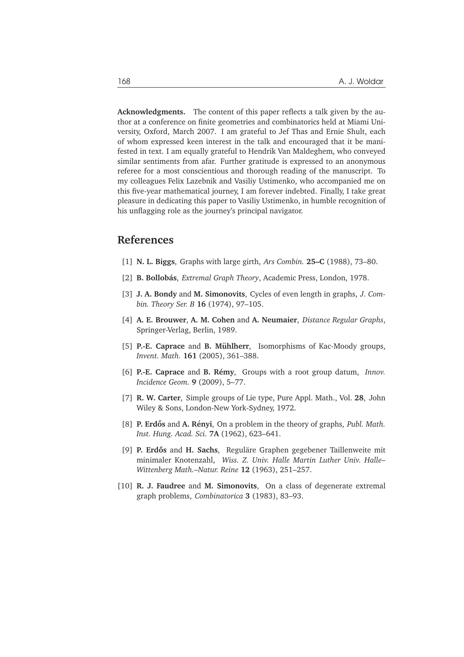**Acknowledgments.** The content of this paper reflects a talk given by the author at a conference on finite geometries and combinatorics held at Miami University, Oxford, March 2007. I am grateful to Jef Thas and Ernie Shult, each of whom expressed keen interest in the talk and encouraged that it be manifested in text. I am equally grateful to Hendrik Van Maldeghem, who conveyed similar sentiments from afar. Further gratitude is expressed to an anonymous referee for a most conscientious and thorough reading of the manuscript. To my colleagues Felix Lazebnik and Vasiliy Ustimenko, who accompanied me on this five-year mathematical journey, I am forever indebted. Finally, I take great pleasure in dedicating this paper to Vasiliy Ustimenko, in humble recognition of his unflagging role as the journey's principal navigator.

## **References**

- [1] **N. L. Biggs**, Graphs with large girth, *Ars Combin.* **25–C** (1988), 73–80.
- [2] **B. Bollobás**, *Extremal Graph Theory*, Academic Press, London, 1978.
- [3] **J. A. Bondy** and **M. Simonovits**, Cycles of even length in graphs, *J. Combin. Theory Ser. B* **16** (1974), 97–105.
- [4] **A. E. Brouwer**, **A. M. Cohen** and **A. Neumaier**, *Distance Regular Graphs*, Springer-Verlag, Berlin, 1989.
- [5] **P.-E. Caprace** and **B. Mühlherr**, Isomorphisms of Kac-Moody groups, *Invent. Math.* **161** (2005), 361–388.
- [6] **P.-E. Caprace** and **B. Remy ´** , Groups with a root group datum, *Innov. Incidence Geom.* **9** (2009), 5–77.
- [7] **R. W. Carter**, Simple groups of Lie type, Pure Appl. Math., Vol. **28**, John Wiley & Sons, London-New York-Sydney, 1972.
- [8] **P. Erdős** and **A. Rényi**, On a problem in the theory of graphs, *Publ. Math. Inst. Hung. Acad. Sci.* **7A** (1962), 623–641.
- [9] **P. Erdős** and **H. Sachs**, Reguläre Graphen gegebener Taillenweite mit minimaler Knotenzahl, *Wiss. Z. Univ. Halle Martin Luther Univ. Halle– Wittenberg Math.–Natur. Reine* **12** (1963), 251–257.
- [10] **R. J. Faudree** and **M. Simonovits**, On a class of degenerate extremal graph problems, *Combinatorica* **3** (1983), 83–93.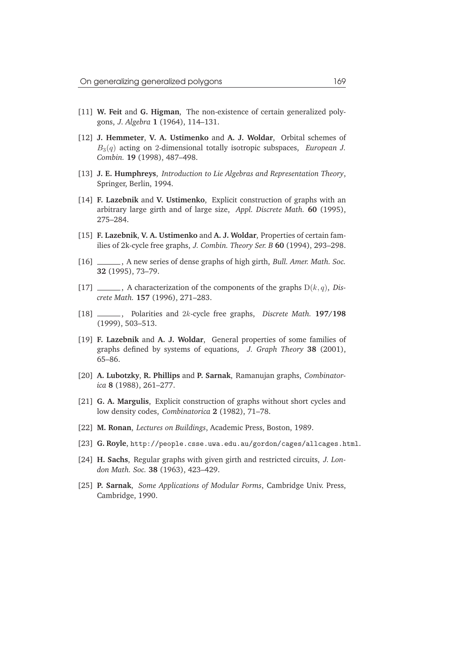- [11] **W. Feit** and **G. Higman**, The non-existence of certain generalized polygons, *J. Algebra* **1** (1964), 114–131.
- [12] **J. Hemmeter**, **V. A. Ustimenko** and **A. J. Woldar**, Orbital schemes of B3(q) acting on 2-dimensional totally isotropic subspaces, *European J. Combin.* **19** (1998), 487–498.
- [13] **J. E. Humphreys**, *Introduction to Lie Algebras and Representation Theory*, Springer, Berlin, 1994.
- [14] **F. Lazebnik** and **V. Ustimenko**, Explicit construction of graphs with an arbitrary large girth and of large size, *Appl. Discrete Math.* **60** (1995), 275–284.
- [15] **F. Lazebnik**, **V. A. Ustimenko** and **A. J. Woldar**, Properties of certain families of 2k-cycle free graphs, *J. Combin. Theory Ser. B* **60** (1994), 293–298.
- [16] , A new series of dense graphs of high girth, *Bull. Amer. Math. Soc.* **32** (1995), 73–79.
- [17] , A characterization of the components of the graphs D(k, q), *Discrete Math.* **157** (1996), 271–283.
- [18] , Polarities and 2k-cycle free graphs, *Discrete Math.* **197/198** (1999), 503–513.
- [19] **F. Lazebnik** and **A. J. Woldar**, General properties of some families of graphs defined by systems of equations, *J. Graph Theory* **38** (2001), 65–86.
- [20] **A. Lubotzky**, **R. Phillips** and **P. Sarnak**, Ramanujan graphs, *Combinatorica* **8** (1988), 261–277.
- [21] **G. A. Margulis**, Explicit construction of graphs without short cycles and low density codes, *Combinatorica* **2** (1982), 71–78.
- [22] **M. Ronan**, *Lectures on Buildings*, Academic Press, Boston, 1989.
- [23] **G. Royle**, http://people.csse.uwa.edu.au/gordon/cages/allcages.html.
- [24] **H. Sachs**, Regular graphs with given girth and restricted circuits, *J. London Math. Soc.* **38** (1963), 423–429.
- [25] **P. Sarnak**, *Some Applications of Modular Forms*, Cambridge Univ. Press, Cambridge, 1990.